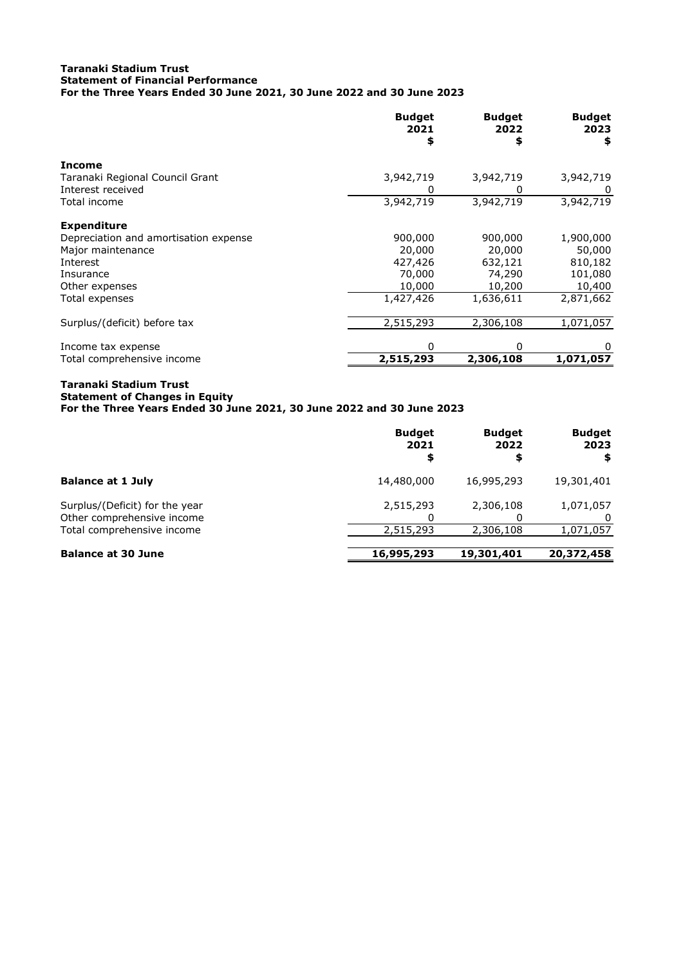## **Taranaki Stadium Trust Statement of Financial Performance For the Three Years Ended 30 June 2021, 30 June 2022 and 30 June 2023**

|                                       | <b>Budget</b><br>2021<br>\$ | <b>Budget</b><br>2022 | <b>Budget</b><br>2023<br>\$ |
|---------------------------------------|-----------------------------|-----------------------|-----------------------------|
| <b>Income</b>                         |                             |                       |                             |
| Taranaki Regional Council Grant       | 3,942,719                   | 3,942,719             | 3,942,719                   |
| Interest received                     |                             |                       |                             |
| Total income                          | 3,942,719                   | 3,942,719             | 3,942,719                   |
| <b>Expenditure</b>                    |                             |                       |                             |
| Depreciation and amortisation expense | 900,000                     | 900,000               | 1,900,000                   |
| Major maintenance                     | 20,000                      | 20,000                | 50,000                      |
| Interest                              | 427,426                     | 632,121               | 810,182                     |
| Insurance                             | 70,000                      | 74,290                | 101,080                     |
| Other expenses                        | 10,000                      | 10,200                | 10,400                      |
| Total expenses                        | 1,427,426                   | 1,636,611             | 2,871,662                   |
| Surplus/(deficit) before tax          | 2,515,293                   | 2,306,108             | 1,071,057                   |
| Income tax expense                    |                             | O                     | 0                           |
| Total comprehensive income            | 2,515,293                   | 2,306,108             | 1,071,057                   |

## **Taranaki Stadium Trust Statement of Changes in Equity**

**For the Three Years Ended 30 June 2021, 30 June 2022 and 30 June 2023**

|                                                              | <b>Budget</b><br>2021<br>\$ | <b>Budget</b><br>2022<br>\$ | <b>Budget</b><br>2023<br>\$ |
|--------------------------------------------------------------|-----------------------------|-----------------------------|-----------------------------|
| <b>Balance at 1 July</b>                                     | 14,480,000                  | 16,995,293                  | 19,301,401                  |
| Surplus/(Deficit) for the year<br>Other comprehensive income | 2,515,293                   | 2,306,108                   | 1,071,057                   |
| Total comprehensive income                                   | 2,515,293                   | 2,306,108                   | 1,071,057                   |
| <b>Balance at 30 June</b>                                    | 16,995,293                  | 19,301,401                  | 20,372,458                  |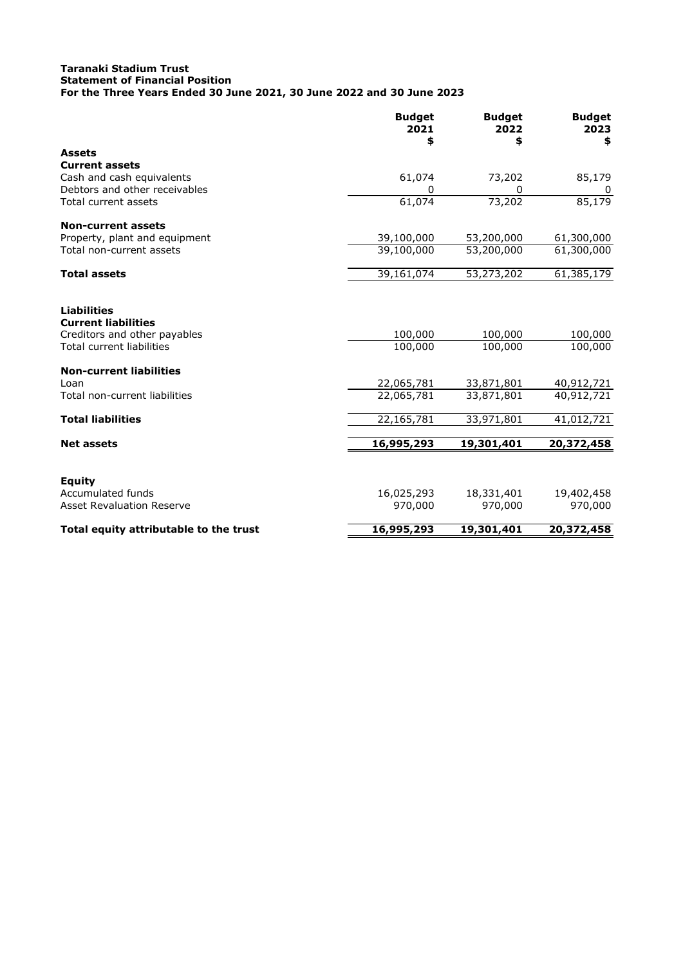## **Taranaki Stadium Trust Statement of Financial Position For the Three Years Ended 30 June 2021, 30 June 2022 and 30 June 2023**

|                                                                                                                      | <b>Budget</b><br>2021<br>\$ | <b>Budget</b><br>2022<br>\$ | <b>Budget</b><br>2023<br>\$ |
|----------------------------------------------------------------------------------------------------------------------|-----------------------------|-----------------------------|-----------------------------|
| <b>Assets</b>                                                                                                        |                             |                             |                             |
| <b>Current assets</b>                                                                                                |                             |                             |                             |
| Cash and cash equivalents                                                                                            | 61,074                      | 73,202                      | 85,179                      |
| Debtors and other receivables                                                                                        | 0                           | 0                           | 0                           |
| Total current assets                                                                                                 | 61,074                      | 73,202                      | 85,179                      |
| <b>Non-current assets</b>                                                                                            |                             |                             |                             |
| Property, plant and equipment                                                                                        | 39,100,000                  | 53,200,000                  | 61,300,000                  |
| Total non-current assets                                                                                             | 39,100,000                  | 53,200,000                  | 61,300,000                  |
| <b>Total assets</b>                                                                                                  | 39,161,074                  | 53,273,202                  | 61,385,179                  |
| <b>Liabilities</b><br><b>Current liabilities</b><br>Creditors and other payables<br><b>Total current liabilities</b> | 100,000<br>100,000          | 100,000<br>100,000          | 100,000<br>100,000          |
| <b>Non-current liabilities</b>                                                                                       |                             |                             |                             |
| Loan                                                                                                                 | 22,065,781                  | 33,871,801                  | 40, 912, 721                |
| Total non-current liabilities                                                                                        | 22,065,781                  | 33,871,801                  | 40,912,721                  |
| <b>Total liabilities</b>                                                                                             | 22,165,781                  | 33,971,801                  | 41,012,721                  |
| <b>Net assets</b>                                                                                                    | 16,995,293                  | 19,301,401                  | 20,372,458                  |
| <b>Equity</b>                                                                                                        |                             |                             |                             |
| Accumulated funds                                                                                                    | 16,025,293                  | 18,331,401                  | 19,402,458                  |
| <b>Asset Revaluation Reserve</b>                                                                                     | 970,000                     | 970,000                     | 970,000                     |
| Total equity attributable to the trust                                                                               | 16,995,293                  | 19,301,401                  | 20,372,458                  |